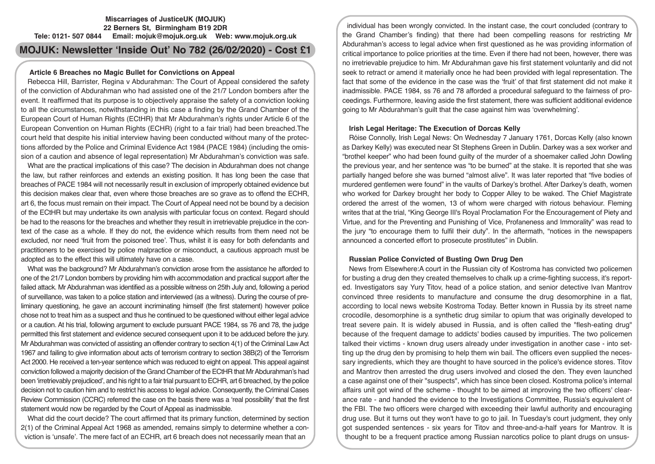## **Miscarriages of JusticeUK (MOJUK) 22 Berners St, Birmingham B19 2DR Tele: 0121- 507 0844 Email: mojuk@mojuk.org.uk Web: www.mojuk.org.uk**

# **MOJUK: Newsletter 'Inside Out' No 782 (26/02/2020) - Cost £1**

## **Article 6 Breaches no Magic Bullet for Convictions on Appeal**

Rebecca Hill, Barrister, Regina v Abdurahman: The Court of Appeal considered the safety of the conviction of Abdurahman who had assisted one of the 21/7 London bombers after the event. It reaffirmed that its purpose is to objectively appraise the safety of a conviction looking to all the circumstances, notwithstanding in this case a finding by the Grand Chamber of the European Court of Human Rights (ECtHR) that Mr Abdurahman's rights under Article 6 of the European Convention on Human Rights (ECHR) (right to a fair trial) had been breached.The court held that despite his initial interview having been conducted without many of the protections afforded by the Police and Criminal Evidence Act 1984 (PACE 1984) (including the omission of a caution and absence of legal representation) Mr Abdurahman's conviction was safe.

What are the practical implications of this case? The decision in Abdurahman does not change the law, but rather reinforces and extends an existing position. It has long been the case that breaches of PACE 1984 will not necessarily result in exclusion of improperly obtained evidence but this decision makes clear that, even where those breaches are so grave as to offend the ECHR, art 6, the focus must remain on their impact. The Court of Appeal need not be bound by a decision of the ECtHR but may undertake its own analysis with particular focus on context. Regard should be had to the reasons for the breaches and whether they result in irretrievable prejudice in the context of the case as a whole. If they do not, the evidence which results from them need not be excluded, nor need 'fruit from the poisoned tree'. Thus, whilst it is easy for both defendants and practitioners to be exercised by police malpractice or misconduct, a cautious approach must be adopted as to the effect this will ultimately have on a case.

What was the background? Mr Abdurahman's conviction arose from the assistance he afforded to one of the 21/7 London bombers by providing him with accommodation and practical support after the failed attack. Mr Abdurahman was identified as a possible witness on 25th July and, following a period of surveillance, was taken to a police station and interviewed (as a witness). During the course of preliminary questioning, he gave an account incriminating himself (the first statement) however police chose not to treat him as a suspect and thus he continued to be questioned without either legal advice or a caution. At his trial, following argument to exclude pursuant PACE 1984, ss 76 and 78, the judge permitted this first statement and evidence secured consequent upon it to be adduced before the jury. Mr Abdurahman was convicted of assisting an offender contrary to section 4(1) of the Criminal Law Act 1967 and failing to give information about acts of terrorism contrary to section 38B(2) of the Terrorism Act 2000. He received a ten-year sentence which was reduced to eight on appeal. This appeal against conviction followed a majority decision of the Grand Chamber of the ECtHR that Mr Abdurahman's had been 'irretrievably prejudiced', and his right to a fair trial pursuant to ECHR, art 6 breached, by the police decision not to caution him and to restrict his access to legal advice. Consequently, the Criminal Cases Review Commission (CCRC) referred the case on the basis there was a 'real possibility' that the first statement would now be regarded by the Court of Appeal as inadmissible.

What did the court decide? The court affirmed that its primary function, determined by section 2(1) of the Criminal Appeal Act 1968 as amended, remains simply to determine whether a conviction is 'unsafe'. The mere fact of an ECHR, art 6 breach does not necessarily mean that an

individual has been wrongly convicted. In the instant case, the court concluded (contrary to the Grand Chamber's finding) that there had been compelling reasons for restricting Mr Abdurahman's access to legal advice when first questioned as he was providing information of critical importance to police priorities at the time. Even if there had not been, however, there was no irretrievable prejudice to him. Mr Abdurahman gave his first statement voluntarily and did not seek to retract or amend it materially once he had been provided with legal representation. The fact that some of the evidence in the case was the 'fruit' of that first statement did not make it inadmissible. PACE 1984, ss 76 and 78 afforded a procedural safeguard to the fairness of proceedings. Furthermore, leaving aside the first statement, there was sufficient additional evidence going to Mr Abdurahman's guilt that the case against him was 'overwhelming'.

## **Irish Legal Heritage: The Execution of Dorcas Kelly**

Róise Connolly, Irish Legal News: On Wednesday 7 January 1761, Dorcas Kelly (also known as Darkey Kelly) was executed near St Stephens Green in Dublin. Darkey was a sex worker and "brothel keeper" who had been found guilty of the murder of a shoemaker called John Dowling the previous year, and her sentence was "to be burned" at the stake. It is reported that she was partially hanged before she was burned "almost alive". It was later reported that "five bodies of murdered gentlemen were found" in the vaults of Darkey's brothel. After Darkey's death, women who worked for Darkey brought her body to Copper Alley to be waked. The Chief Magistrate ordered the arrest of the women, 13 of whom were charged with riotous behaviour. Fleming writes that at the trial, "King George III's Royal Proclamation For the Encouragement of Piety and Virtue, and for the Preventing and Punishing of Vice, Profaneness and Immorality" was read to the jury "to encourage them to fulfil their duty". In the aftermath, "notices in the newspapers announced a concerted effort to prosecute prostitutes" in Dublin.

## **Russian Police Convicted of Busting Own Drug Den**

News from Elsewhere:A court in the Russian city of Kostroma has convicted two policemen for busting a drug den they created themselves to chalk up a crime-fighting success, it's reported. Investigators say Yury Titov, head of a police station, and senior detective Ivan Mantrov convinced three residents to manufacture and consume the drug desomorphine in a flat, according to local news website Kostroma Today. Better known in Russia by its street name crocodile, desomorphine is a synthetic drug similar to opium that was originally developed to treat severe pain. It is widely abused in Russia, and is often called the "flesh-eating drug" because of the frequent damage to addicts' bodies caused by impurities. The two policemen talked their victims - known drug users already under investigation in another case - into setting up the drug den by promising to help them win bail. The officers even supplied the necessary ingredients, which they are thought to have sourced in the police's evidence stores. Titov and Mantrov then arrested the drug users involved and closed the den. They even launched a case against one of their "suspects", which has since been closed. Kostroma police's internal affairs unit got wind of the scheme - thought to be aimed at improving the two officers' clearance rate - and handed the evidence to the Investigations Committee, Russia's equivalent of the FBI. The two officers were charged with exceeding their lawful authority and encouraging drug use. But it turns out they won't have to go to jail. In Tuesday's court judgment, they only got suspended sentences - six years for Titov and three-and-a-half years for Mantrov. It is thought to be a frequent practice among Russian narcotics police to plant drugs on unsus-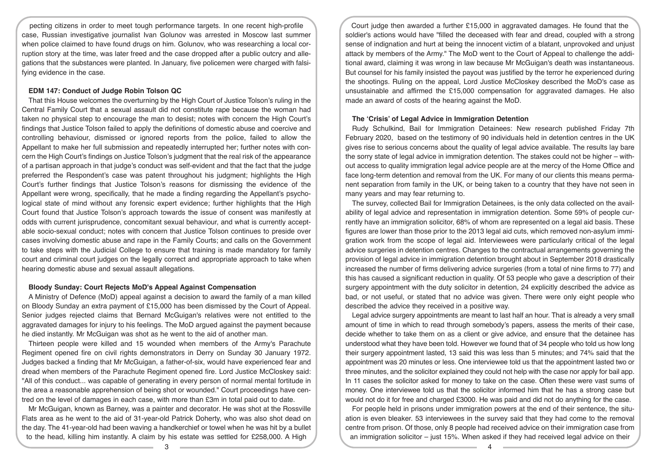pecting citizens in order to meet tough performance targets. In one recent high-profile case, Russian investigative journalist Ivan Golunov was arrested in Moscow last summer when police claimed to have found drugs on him. Golunov, who was researching a local corruption story at the time, was later freed and the case dropped after a public outcry and allegations that the substances were planted. In January, five policemen were charged with falsifying evidence in the case.

## **EDM 147: Conduct of Judge Robin Tolson QC**

That this House welcomes the overturning by the High Court of Justice Tolson's ruling in the Central Family Court that a sexual assault did not constitute rape because the woman had taken no physical step to encourage the man to desist; notes with concern the High Court's findings that Justice Tolson failed to apply the definitions of domestic abuse and coercive and controlling behaviour, dismissed or ignored reports from the police, failed to allow the Appellant to make her full submission and repeatedly interrupted her; further notes with concern the High Court's findings on Justice Tolson's judgment that the real risk of the appearance of a partisan approach in that judge's conduct was self-evident and that the fact that the judge preferred the Respondent's case was patent throughout his judgment; highlights the High Court's further findings that Justice Tolson's reasons for dismissing the evidence of the Appellant were wrong, specifically, that he made a finding regarding the Appellant's psychological state of mind without any forensic expert evidence; further highlights that the High Court found that Justice Tolson's approach towards the issue of consent was manifestly at odds with current jurisprudence, concomitant sexual behaviour, and what is currently acceptable socio-sexual conduct; notes with concern that Justice Tolson continues to preside over cases involving domestic abuse and rape in the Family Courts; and calls on the Government to take steps with the Judicial College to ensure that training is made mandatory for family court and criminal court judges on the legally correct and appropriate approach to take when hearing domestic abuse and sexual assault allegations.

## **Bloody Sunday: Court Rejects MoD's Appeal Against Compensation**

A Ministry of Defence (MoD) appeal against a decision to award the family of a man killed on Bloody Sunday an extra payment of £15,000 has been dismissed by the Court of Appeal. Senior judges rejected claims that Bernard McGuigan's relatives were not entitled to the aggravated damages for injury to his feelings. The MoD argued against the payment because he died instantly. Mr McGuigan was shot as he went to the aid of another man.

Thirteen people were killed and 15 wounded when members of the Army's Parachute Regiment opened fire on civil rights demonstrators in Derry on Sunday 30 January 1972. Judges backed a finding that Mr McGuigan, a father-of-six, would have experienced fear and dread when members of the Parachute Regiment opened fire. Lord Justice McCloskey said: "All of this conduct... was capable of generating in every person of normal mental fortitude in the area a reasonable apprehension of being shot or wounded." Court proceedings have centred on the level of damages in each case, with more than £3m in total paid out to date.

Mr McGuigan, known as Barney, was a painter and decorator. He was shot at the Rossville Flats area as he went to the aid of 31-year-old Patrick Doherty, who was also shot dead on the day. The 41-year-old had been waving a handkerchief or towel when he was hit by a bullet to the head, killing him instantly. A claim by his estate was settled for £258,000. A High

Court judge then awarded a further £15,000 in aggravated damages. He found that the soldier's actions would have "filled the deceased with fear and dread, coupled with a strong sense of indignation and hurt at being the innocent victim of a blatant, unprovoked and unjust attack by members of the Army." The MoD went to the Court of Appeal to challenge the additional award, claiming it was wrong in law because Mr McGuigan's death was instantaneous. But counsel for his family insisted the payout was justified by the terror he experienced during the shootings. Ruling on the appeal, Lord Justice McCloskey described the MoD's case as unsustainable and affirmed the £15,000 compensation for aggravated damages. He also made an award of costs of the hearing against the MoD.

#### **The 'Crisis' of Legal Advice in Immigration Detention**

Rudy Schulkind, Bail for Immigration Detainees: New research published Friday 7th February 2020, based on the testimony of 90 individuals held in detention centres in the UK gives rise to serious concerns about the quality of legal advice available. The results lay bare the sorry state of legal advice in immigration detention. The stakes could not be higher – without access to quality immigration legal advice people are at the mercy of the Home Office and face long-term detention and removal from the UK. For many of our clients this means permanent separation from family in the UK, or being taken to a country that they have not seen in many years and may fear returning to.

The survey, collected Bail for Immigration Detainees, is the only data collected on the availability of legal advice and representation in immigration detention. Some 59% of people currently have an immigration solicitor, 68% of whom are represented on a legal aid basis. These figures are lower than those prior to the 2013 legal aid cuts, which removed non-asylum immigration work from the scope of legal aid. Interviewees were particularly critical of the legal advice surgeries in detention centres. Changes to the contractual arrangements governing the provision of legal advice in immigration detention brought about in September 2018 drastically increased the number of firms delivering advice surgeries (from a total of nine firms to 77) and this has caused a significant reduction in quality. Of 53 people who gave a description of their surgery appointment with the duty solicitor in detention, 24 explicitly described the advice as bad, or not useful, or stated that no advice was given. There were only eight people who described the advice they received in a positive way.

Legal advice surgery appointments are meant to last half an hour. That is already a very small amount of time in which to read through somebody's papers, assess the merits of their case, decide whether to take them on as a client or give advice, and ensure that the detainee has understood what they have been told. However we found that of 34 people who told us how long their surgery appointment lasted, 13 said this was less than 5 minutes; and 74% said that the appointment was 20 minutes or less. One interviewee told us that the appointment lasted two or three minutes, and the solicitor explained they could not help with the case nor apply for bail app. In 11 cases the solicitor asked for money to take on the case. Often these were vast sums of money. One interviewee told us that the solicitor informed him that he has a strong case but would not do it for free and charged £3000. He was paid and did not do anything for the case.

For people held in prisons under immigration powers at the end of their sentence, the situation is even bleaker. 53 interviewees in the survey said that they had come to the removal centre from prison. Of those, only 8 people had received advice on their immigration case from an immigration solicitor – just 15%. When asked if they had received legal advice on their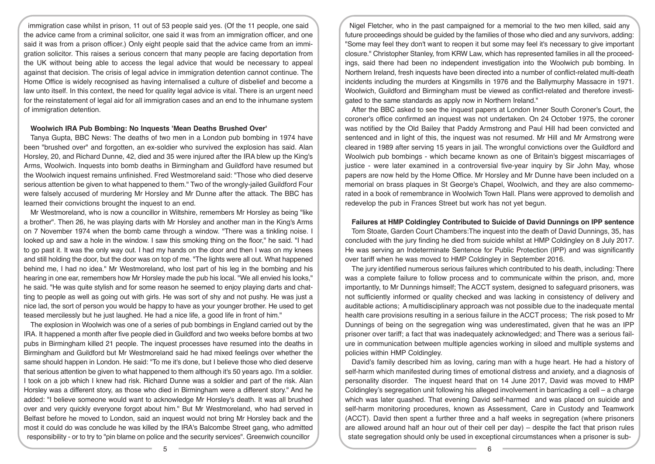immigration case whilst in prison, 11 out of 53 people said yes. (Of the 11 people, one said the advice came from a criminal solicitor, one said it was from an immigration officer, and one said it was from a prison officer.) Only eight people said that the advice came from an immigration solicitor. This raises a serious concern that many people are facing deportation from the UK without being able to access the legal advice that would be necessary to appeal against that decision. The crisis of legal advice in immigration detention cannot continue. The Home Office is widely recognised as having internalised a culture of disbelief and become a law unto itself. In this context, the need for quality legal advice is vital. There is an urgent need for the reinstatement of legal aid for all immigration cases and an end to the inhumane system of immigration detention.

#### **Woolwich IRA Pub Bombing: No Inquests 'Mean Deaths Brushed Over'**

Tanya Gupta, BBC News: The deaths of two men in a London pub bombing in 1974 have been "brushed over" and forgotten, an ex-soldier who survived the explosion has said. Alan Horsley, 20, and Richard Dunne, 42, died and 35 were injured after the IRA blew up the King's Arms, Woolwich. Inquests into bomb deaths in Birmingham and Guildford have resumed but the Woolwich inquest remains unfinished. Fred Westmoreland said: "Those who died deserve serious attention be given to what happened to them." Two of the wrongly-jailed Guildford Four were falsely accused of murdering Mr Horsley and Mr Dunne after the attack. The BBC has learned their convictions brought the inquest to an end.

Mr Westmoreland, who is now a councillor in Wiltshire, remembers Mr Horsley as being "like a brother". Then 26, he was playing darts with Mr Horsley and another man in the King's Arms on 7 November 1974 when the bomb came through a window. "There was a tinkling noise. I looked up and saw a hole in the window. I saw this smoking thing on the floor," he said. "I had to go past it. It was the only way out. I had my hands on the door and then I was on my knees and still holding the door, but the door was on top of me. "The lights were all out. What happened behind me, I had no idea." Mr Westmoreland, who lost part of his leg in the bombing and his hearing in one ear, remembers how Mr Horsley made the pub his local. "We all envied his looks," he said. "He was quite stylish and for some reason he seemed to enjoy playing darts and chatting to people as well as going out with girls. He was sort of shy and not pushy. He was just a nice lad, the sort of person you would be happy to have as your younger brother. He used to get teased mercilessly but he just laughed. He had a nice life, a good life in front of him."

The explosion in Woolwich was one of a series of pub bombings in England carried out by the IRA. It happened a month after five people died in Guildford and two weeks before bombs at two pubs in Birmingham killed 21 people. The inquest processes have resumed into the deaths in Birmingham and Guildford but Mr Westmoreland said he had mixed feelings over whether the same should happen in London. He said: "To me it's done, but I believe those who died deserve that serious attention be given to what happened to them although it's 50 years ago. I'm a soldier. I took on a job which I knew had risk. Richard Dunne was a soldier and part of the risk. Alan Horsley was a different story, as those who died in Birmingham were a different story." And he added: "I believe someone would want to acknowledge Mr Horsley's death. It was all brushed over and very quickly everyone forgot about him." But Mr Westmoreland, who had served in Belfast before he moved to London, said an inquest would not bring Mr Horsley back and the most it could do was conclude he was killed by the IRA's Balcombe Street gang, who admitted responsibility - or to try to "pin blame on police and the security services". Greenwich councillor

Nigel Fletcher, who in the past campaigned for a memorial to the two men killed, said any future proceedings should be guided by the families of those who died and any survivors, adding: "Some may feel they don't want to reopen it but some may feel it's necessary to give important closure." Christopher Stanley, from KRW Law, which has represented families in all the proceedings, said there had been no independent investigation into the Woolwich pub bombing. In Northern Ireland, fresh inquests have been directed into a number of conflict-related multi-death incidents including the murders at Kingsmills in 1976 and the Ballymurphy Massacre in 1971. Woolwich, Guildford and Birmingham must be viewed as conflict-related and therefore investigated to the same standards as apply now in Northern Ireland."

After the BBC asked to see the inquest papers at London Inner South Coroner's Court, the coroner's office confirmed an inquest was not undertaken. On 24 October 1975, the coroner was notified by the Old Bailey that Paddy Armstrong and Paul Hill had been convicted and sentenced and in light of this, the inquest was not resumed. Mr Hill and Mr Armstrong were cleared in 1989 after serving 15 years in jail. The wrongful convictions over the Guildford and Woolwich pub bombings - which became known as one of Britain's biggest miscarriages of justice - were later examined in a controversial five-year inquiry by Sir John May, whose papers are now held by the Home Office. Mr Horsley and Mr Dunne have been included on a memorial on brass plaques in St George's Chapel, Woolwich, and they are also commemorated in a book of remembrance in Woolwich Town Hall. Plans were approved to demolish and redevelop the pub in Frances Street but work has not yet begun.

## **Failures at HMP Coldingley Contributed to Suicide of David Dunnings on IPP sentence**

Tom Stoate, Garden Court Chambers:The inquest into the death of David Dunnings, 35, has concluded with the jury finding he died from suicide whilst at HMP Coldingley on 8 July 2017. He was serving an Indeterminate Sentence for Public Protection (IPP) and was significantly over tariff when he was moved to HMP Coldingley in September 2016.

The jury identified numerous serious failures which contributed to his death, including: There was a complete failure to follow process and to communicate within the prison, and, more importantly, to Mr Dunnings himself; The ACCT system, designed to safeguard prisoners, was not sufficiently informed or quality checked and was lacking in consistency of delivery and auditable actions; A multidisciplinary approach was not possible due to the inadequate mental health care provisions resulting in a serious failure in the ACCT process; The risk posed to Mr Dunnings of being on the segregation wing was underestimated, given that he was an IPP prisoner over tariff; a fact that was inadequately acknowledged; and There was a serious failure in communication between multiple agencies working in siloed and multiple systems and policies within HMP Coldingley.

David's family described him as loving, caring man with a huge heart. He had a history of self-harm which manifested during times of emotional distress and anxiety, and a diagnosis of personality disorder. The inquest heard that on 14 June 2017, David was moved to HMP Coldingley's segregation unit following his alleged involvement in barricading a cell – a charge which was later quashed. That evening David self-harmed and was placed on suicide and self-harm monitoring procedures, known as Assessment, Care in Custody and Teamwork (ACCT). David then spent a further three and a half weeks in segregation (where prisoners are allowed around half an hour out of their cell per day) – despite the fact that prison rules state segregation should only be used in exceptional circumstances when a prisoner is sub-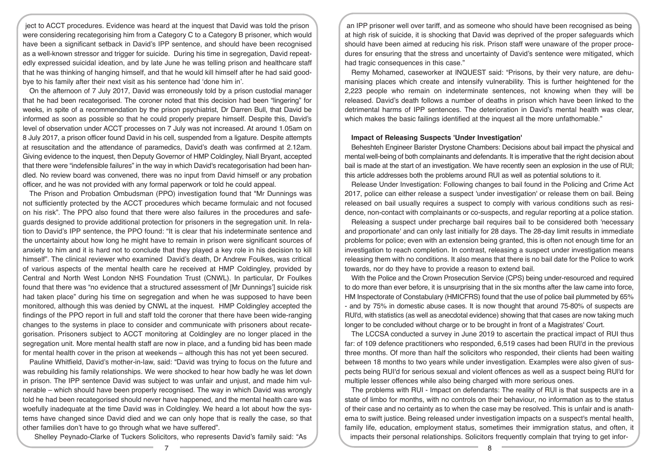ject to ACCT procedures. Evidence was heard at the inquest that David was told the prison were considering recategorising him from a Category C to a Category B prisoner, which would have been a significant setback in David's IPP sentence, and should have been recognised as a well-known stressor and trigger for suicide. During his time in segregation, David repeatedly expressed suicidal ideation, and by late June he was telling prison and healthcare staff that he was thinking of hanging himself, and that he would kill himself after he had said goodbye to his family after their next visit as his sentence had 'done him in'.

On the afternoon of 7 July 2017, David was erroneously told by a prison custodial manager that he had been recategorised. The coroner noted that this decision had been "lingering" for weeks, in spite of a recommendation by the prison psychiatrist, Dr Darren Bull, that David be informed as soon as possible so that he could properly prepare himself. Despite this, David's level of observation under ACCT processes on 7 July was not increased. At around 1.05am on 8 July 2017, a prison officer found David in his cell, suspended from a ligature. Despite attempts at resuscitation and the attendance of paramedics, David's death was confirmed at 2.12am. Giving evidence to the inquest, then Deputy Governor of HMP Coldingley, Niall Bryant, accepted that there were "indefensible failures" in the way in which David's recategorisation had been handled. No review board was convened, there was no input from David himself or any probation officer, and he was not provided with any formal paperwork or told he could appeal.

The Prison and Probation Ombudsman (PPO) investigation found that "Mr Dunnings was not sufficiently protected by the ACCT procedures which became formulaic and not focused on his risk". The PPO also found that there were also failures in the procedures and safeguards designed to provide additional protection for prisoners in the segregation unit. In relation to David's IPP sentence, the PPO found: "It is clear that his indeterminate sentence and the uncertainty about how long he might have to remain in prison were significant sources of anxiety to him and it is hard not to conclude that they played a key role in his decision to kill himself". The clinical reviewer who examined David's death, Dr Andrew Foulkes, was critical of various aspects of the mental health care he received at HMP Coldingley, provided by Central and North West London NHS Foundation Trust (CNWL). In particular, Dr Foulkes found that there was "no evidence that a structured assessment of [Mr Dunnings'] suicide risk had taken place" during his time on segregation and when he was supposed to have been monitored, although this was denied by CNWL at the inquest. HMP Coldingley accepted the findings of the PPO report in full and staff told the coroner that there have been wide-ranging changes to the systems in place to consider and communicate with prisoners about recategorisation. Prisoners subject to ACCT monitoring at Coldingley are no longer placed in the segregation unit. More mental health staff are now in place, and a funding bid has been made for mental health cover in the prison at weekends – although this has not yet been secured.

Pauline Whitfield, David's mother-in-law, said: "David was trying to focus on the future and was rebuilding his family relationships. We were shocked to hear how badly he was let down in prison. The IPP sentence David was subject to was unfair and unjust, and made him vulnerable – which should have been properly recognised. The way in which David was wrongly told he had been recategorised should never have happened, and the mental health care was woefully inadequate at the time David was in Coldingley. We heard a lot about how the systems have changed since David died and we can only hope that is really the case, so that other families don't have to go through what we have suffered".

Shelley Peynado-Clarke of Tuckers Solicitors, who represents David's family said: "As

an IPP prisoner well over tariff, and as someone who should have been recognised as being at high risk of suicide, it is shocking that David was deprived of the proper safeguards which should have been aimed at reducing his risk. Prison staff were unaware of the proper procedures for ensuring that the stress and uncertainty of David's sentence were mitigated, which had tragic consequences in this case."

Remy Mohamed, caseworker at INQUEST said: "Prisons, by their very nature, are dehumanising places which create and intensify vulnerability. This is further heightened for the 2,223 people who remain on indeterminate sentences, not knowing when they will be released. David's death follows a number of deaths in prison which have been linked to the detrimental harms of IPP sentences. The deterioration in David's mental health was clear, which makes the basic failings identified at the inquest all the more unfathomable."

## **Impact of Releasing Suspects 'Under Investigation'**

Beheshteh Engineer Barister Drystone Chambers: Decisions about bail impact the physical and mental well-being of both complainants and defendants. It is imperative that the right decision about bail is made at the start of an investigation. We have recently seen an explosion in the use of RUI; this article addresses both the problems around RUI as well as potential solutions to it.

Release Under Investigation: Following changes to bail found in the Policing and Crime Act 2017, police can either release a suspect 'under investigation' or release them on bail. Being released on bail usually requires a suspect to comply with various conditions such as residence, non-contact with complainants or co-suspects, and regular reporting at a police station.

Releasing a suspect under precharge bail requires bail to be considered both 'necessary and proportionate' and can only last initially for 28 days. The 28-day limit results in immediate problems for police; even with an extension being granted, this is often not enough time for an investigation to reach completion. In contrast, releasing a suspect under investigation means releasing them with no conditions. It also means that there is no bail date for the Police to work towards, nor do they have to provide a reason to extend bail.

With the Police and the Crown Prosecution Service (CPS) being under-resourced and required to do more than ever before, it is unsurprising that in the six months after the law came into force, HM Inspectorate of Constabulary (HMICFRS) found that the use of police bail plummeted by 65% - and by 75% in domestic abuse cases. It is now thought that around 75-80% of suspects are RUl'd, with statistics (as well as anecdotal evidence) showing that that cases are now taking much longer to be concluded without charge or to be brought in front of a Magistrates' Court.

The LCCSA conducted a survey in June 2019 to ascertain the practical impact of RUI thus far: of 109 defence practitioners who responded, 6,519 cases had been RUI'd in the previous three months. Of more than half the solicitors who responded, their clients had been waiting between 18 months to two years while under investigation. Examples were also given of suspects being RUI'd for serious sexual and violent offences as well as a suspect being RUl'd for multiple lesser offences while also being charged with more serious ones.

The problems with RUI - Impact on defendants: The reality of RUI is that suspects are in a state of limbo for months, with no controls on their behaviour, no information as to the status of their case and no certainty as to when the case may be resolved. This is unfair and is anathema to swift justice. Being released under investigation impacts on a suspect's mental health, family life, education, employment status, sometimes their immigration status, and often, it impacts their personal relationships. Solicitors frequently complain that trying to get infor-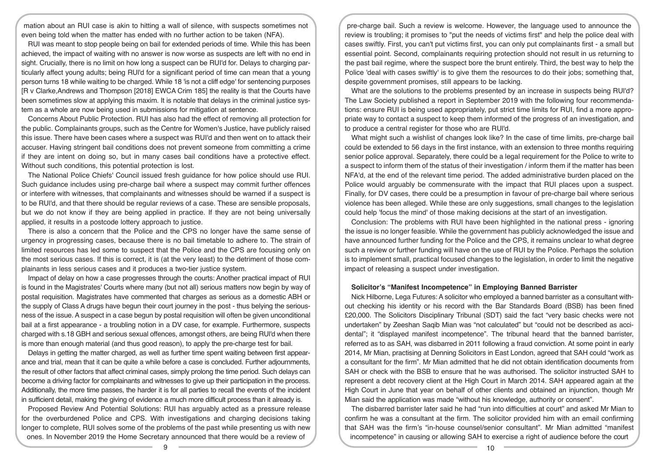mation about an RUI case is akin to hitting a wall of silence, with suspects sometimes not even being told when the matter has ended with no further action to be taken (NFA).

RUI was meant to stop people being on bail for extended periods of time. While this has been achieved, the impact of waiting with no answer is now worse as suspects are left with no end in sight. Crucially, there is no limit on how long a suspect can be RUI'd for. Delays to charging particularly affect young adults; being RUl'd for a significant period of time can mean that a young person turns 18 while waiting to be charged. While 18 'is not a cliff edge' for sentencing purposes [R v Clarke,Andrews and Thompson [2018] EWCA Crim 185] the reality is that the Courts have been sometimes slow at applying this maxim. It is notable that delays in the criminal justice system as a whole are now being used in submissions for mitigation at sentence.

Concerns About Public Protection. RUI has also had the effect of removing all protection for the public. Complainants groups, such as the Centre for Women's Justice, have publicly raised this issue. There have been cases where a suspect was RUI'd and then went on to attack their accuser. Having stringent bail conditions does not prevent someone from committing a crime if they are intent on doing so, but in many cases bail conditions have a protective effect. Without such conditions, this potential protection is lost.

The National Police Chiefs' Council issued fresh guidance for how police should use RUI. Such guidance includes using pre-charge bail where a suspect may commit further offences or interfere with witnesses, that complainants and witnesses should be warned if a suspect is to be RUl'd, and that there should be regular reviews of a case. These are sensible proposals, but we do not know if they are being applied in practice. If they are not being universally applied, it results in a postcode lottery approach to justice.

There is also a concern that the Police and the CPS no longer have the same sense of urgency in progressing cases, because there is no bail timetable to adhere to. The strain of limited resources has led some to suspect that the Police and the CPS are focusing only on the most serious cases. If this is correct, it is (at the very least) to the detriment of those complainants in less serious cases and it produces a two-tier justice system.

Impact of delay on how a case progresses through the courts: Another practical impact of RUI is found in the Magistrates' Courts where many (but not all) serious matters now begin by way of postal requisition. Magistrates have commented that charges as serious as a domestic ABH or the supply of Class A drugs have begun their court journey in the post - thus belying the seriousness of the issue. A suspect in a case begun by postal requisition will often be given unconditional bail at a first appearance - a troubling notion in a DV case, for example. Furthermore, suspects charged with s.18 GBH and serious sexual offences, amongst others, are being RUl'd when there is more than enough material (and thus good reason), to apply the pre-charge test for bail.

Delays in getting the matter charged, as well as further time spent waiting between first appearance and trial, mean that it can be quite a while before a case is concluded. Further adjournments, the result of other factors that affect criminal cases, simply prolong the time period. Such delays can become a driving factor for complainants and witnesses to give up their participation in the process. Additionally, the more time passes, the harder it is for all parties to recall the events of the incident in sufficient detail, making the giving of evidence a much more difficult process than it already is.

Proposed Review And Potential Solutions: RUI has arguably acted as a pressure release for the overburdened Police and CPS. With investigations and charging decisions taking longer to complete, RUI solves some of the problems of the past while presenting us with new ones. In November 2019 the Home Secretary announced that there would be a review of

pre-charge bail. Such a review is welcome. However, the language used to announce the review is troubling; it promises to "put the needs of victims first" and help the police deal with cases swiftly. First, you can't put victims first, you can only put complainants first - a small but essential point. Second, complainants requiring protection should not result in us returning to the past bail regime, where the suspect bore the brunt entirely. Third, the best way to help the Police 'deal with cases swiftly' is to give them the resources to do their jobs; something that, despite government promises, still appears to be lacking.

What are the solutions to the problems presented by an increase in suspects being RUl'd? The Law Society published a report in September 2019 with the following four recommendations: ensure RUI is being used appropriately, put strict time limits for RUI, find a more appropriate way to contact a suspect to keep them informed of the progress of an investigation, and to produce a central register for those who are RUl'd.

What might such a wishlist of changes look like? In the case of time limits, pre-charge bail could be extended to 56 days in the first instance, with an extension to three months requiring senior police approval. Separately, there could be a legal requirement for the Police to write to a suspect to inform them of the status of their investigation / inform them if the matter has been NFA'd, at the end of the relevant time period. The added administrative burden placed on the Police would arguably be commensurate with the impact that RUI places upon a suspect. Finally, for DV cases, there could be a presumption in favour of pre-charge bail where serious violence has been alleged. While these are only suggestions, small changes to the legislation could help 'focus the mind' of those making decisions at the start of an investigation.

Conclusion: The problems with RUI have been highlighted in the national press - ignoring the issue is no longer feasible. While the government has publicly acknowledged the issue and have announced further funding for the Police and the CPS, it remains unclear to what degree such a review or further funding will have on the use of RUI by the Police. Perhaps the solution is to implement small, practical focused changes to the legislation, in order to limit the negative impact of releasing a suspect under investigation.

## **Solicitor's "Manifest Incompetence" in Employing Banned Barrister**

Nick Hilborne, Lega Futures: A solicitor who employed a banned barrister as a consultant without checking his identity or his record with the Bar Standards Board (BSB) has been fined £20,000. The Solicitors Disciplinary Tribunal (SDT) said the fact "very basic checks were not undertaken" by Zeeshan Saqib Mian was "not calculated" but "could not be described as accidental"; it "displayed manifest incompetence". The tribunal heard that the banned barrister, referred as to as SAH, was disbarred in 2011 following a fraud conviction. At some point in early 2014, Mr Mian, practising at Denning Solicitors in East London, agreed that SAH could "work as a consultant for the firm". Mr Mian admitted that he did not obtain identification documents from SAH or check with the BSB to ensure that he was authorised. The solicitor instructed SAH to represent a debt recovery client at the High Court in March 2014. SAH appeared again at the High Court in June that year on behalf of other clients and obtained an injunction, though Mr Mian said the application was made "without his knowledge, authority or consent".

The disbarred barrister later said he had "run into difficulties at court" and asked Mr Mian to confirm he was a consultant at the firm. The solicitor provided him with an email confirming that SAH was the firm's "in-house counsel/senior consultant". Mr Mian admitted "manifest incompetence" in causing or allowing SAH to exercise a right of audience before the court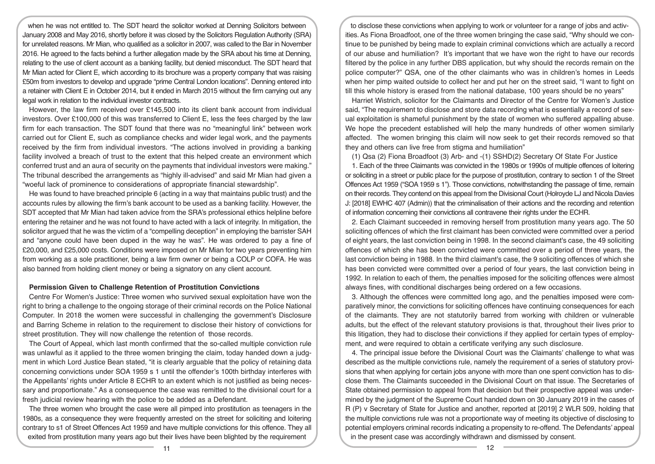when he was not entitled to. The SDT heard the solicitor worked at Denning Solicitors between January 2008 and May 2016, shortly before it was closed by the Solicitors Regulation Authority (SRA) for unrelated reasons. Mr Mian, who qualified as a solicitor in 2007, was called to the Bar in November 2016. He agreed to the facts behind a further allegation made by the SRA about his time at Denning, relating to the use of client account as a banking facility, but denied misconduct. The SDT heard that Mr Mian acted for Client E, which according to its brochure was a property company that was raising £50m from investors to develop and upgrade "prime Central London locations". Denning entered into a retainer with Client E in October 2014, but it ended in March 2015 without the firm carrying out any legal work in relation to the individual investor contracts.

However, the law firm received over £145,500 into its client bank account from individual investors. Over £100,000 of this was transferred to Client E, less the fees charged by the law firm for each transaction. The SDT found that there was no "meaningful link" between work carried out for Client E, such as compliance checks and wider legal work, and the payments received by the firm from individual investors. "The actions involved in providing a banking facility involved a breach of trust to the extent that this helped create an environment which conferred trust and an aura of security on the payments that individual investors were making." The tribunal described the arrangements as "highly ill-advised" and said Mr Mian had given a "woeful lack of prominence to considerations of appropriate financial stewardship".

He was found to have breached principle 6 (acting in a way that maintains public trust) and the accounts rules by allowing the firm's bank account to be used as a banking facility. However, the SDT accepted that Mr Mian had taken advice from the SRA's professional ethics helpline before entering the retainer and he was not found to have acted with a lack of integrity. In mitigation, the solicitor argued that he was the victim of a "compelling deception" in employing the barrister SAH and "anyone could have been duped in the way he was". He was ordered to pay a fine of £20,000, and £25,000 costs. Conditions were imposed on Mr Mian for two years preventing him from working as a sole practitioner, being a law firm owner or being a COLP or COFA. He was also banned from holding client money or being a signatory on any client account.

### **Permission Given to Challenge Retention of Prostitution Convictions**

Centre For Women's Justice: Three women who survived sexual exploitation have won the right to bring a challenge to the ongoing storage of their criminal records on the Police National Computer. In 2018 the women were successful in challenging the government's Disclosure and Barring Scheme in relation to the requirement to disclose their history of convictions for street prostitution. They will now challenge the retention of those records.

The Court of Appeal, which last month confirmed that the so-called multiple conviction rule was unlawful as it applied to the three women bringing the claim, today handed down a judgment in which Lord Justice Bean stated, "it is clearly arguable that the policy of retaining data concerning convictions under SOA 1959 s 1 until the offender's 100th birthday interferes with the Appellants' rights under Article 8 ECHR to an extent which is not justified as being necessary and proportionate." As a consequence the case was remitted to the divisional court for a fresh judicial review hearing with the police to be added as a Defendant.

The three women who brought the case were all pimped into prostitution as teenagers in the 1980s, as a consequence they were frequently arrested on the street for soliciting and loitering contrary to s1 of Street Offences Act 1959 and have multiple convictions for this offence. They all exited from prostitution many years ago but their lives have been blighted by the requirement

to disclose these convictions when applying to work or volunteer for a range of jobs and activities. As Fiona Broadfoot, one of the three women bringing the case said, "Why should we continue to be punished by being made to explain criminal convictions which are actually a record of our abuse and humiliation? It's important that we have won the right to have our records filtered by the police in any further DBS application, but why should the records remain on the police computer?" QSA, one of the other claimants who was in children's homes in Leeds when her pimp waited outside to collect her and put her on the street said, "I want to fight on till this whole history is erased from the national database, 100 years should be no years"

Harriet Wistrich, solicitor for the Claimants and Director of the Centre for Women's Justice said, "The requirement to disclose and store data recording what is essentially a record of sexual exploitation is shameful punishment by the state of women who suffered appalling abuse. We hope the precedent established will help the many hundreds of other women similarly affected. The women bringing this claim will now seek to get their records removed so that they and others can live free from stigma and humiliation"

(1) Qsa (2) Fiona Broadfoot (3) Arb- and -(1) SSHD(2) Secretary Of State For Justice

1. Each of the three Claimants was convicted in the 1980s or 1990s of multiple offences of loitering or soliciting in a street or public place for the purpose of prostitution, contrary to section 1 of the Street Offences Act 1959 ("SOA 1959 s 1"). Those convictions, notwithstanding the passage of time, remain on their records. They contend on this appeal from the Divisional Court (Holroyde LJ and Nicola Davies J: [2018] EWHC 407 (Admin)) that the criminalisation of their actions and the recording and retention of information concerning their convictions all contravene their rights under the ECHR.

2. Each Claimant succeeded in removing herself from prostitution many years ago. The 50 soliciting offences of which the first claimant has been convicted were committed over a period of eight years, the last conviction being in 1998. In the second claimant's case, the 49 soliciting offences of which she has been convicted were committed over a period of three years, the last conviction being in 1988. In the third claimant's case, the 9 soliciting offences of which she has been convicted were committed over a period of four years, the last conviction being in 1992. In relation to each of them, the penalties imposed for the soliciting offences were almost always fines, with conditional discharges being ordered on a few occasions.

3. Although the offences were committed long ago, and the penalties imposed were comparatively minor, the convictions for soliciting offences have continuing consequences for each of the claimants. They are not statutorily barred from working with children or vulnerable adults, but the effect of the relevant statutory provisions is that, throughout their lives prior to this litigation, they had to disclose their convictions if they applied for certain types of employment, and were required to obtain a certificate verifying any such disclosure.

4. The principal issue before the Divisional Court was the Claimants' challenge to what was described as the multiple convictions rule, namely the requirement of a series of statutory provisions that when applying for certain jobs anyone with more than one spent conviction has to disclose them. The Claimants succeeded in the Divisional Court on that issue. The Secretaries of State obtained permission to appeal from that decision but their prospective appeal was undermined by the judgment of the Supreme Court handed down on 30 January 2019 in the cases of R (P) v Secretary of State for Justice and another, reported at [2019] 2 WLR 509, holding that the multiple convictions rule was not a proportionate way of meeting its objective of disclosing to potential employers criminal records indicating a propensity to re-offend. The Defendants' appeal in the present case was accordingly withdrawn and dismissed by consent.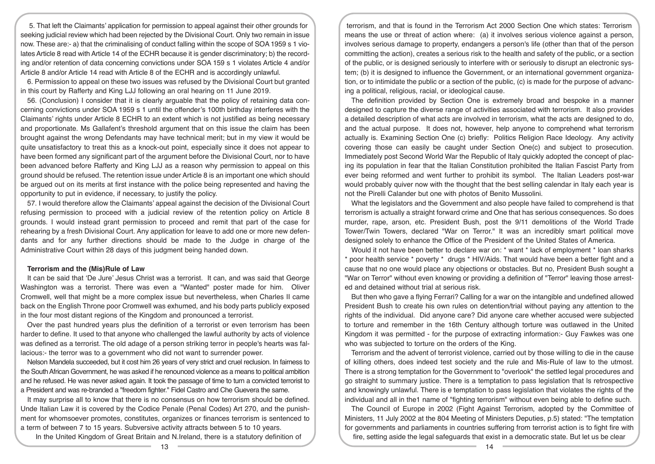5. That left the Claimants' application for permission to appeal against their other grounds for seeking judicial review which had been rejected by the Divisional Court. Only two remain in issue now. These are:- a) that the criminalising of conduct falling within the scope of SOA 1959 s 1 violates Article 8 read with Article 14 of the ECHR because it is gender discriminatory; b) the recording and/or retention of data concerning convictions under SOA 159 s 1 violates Article 4 and/or Article 8 and/or Article 14 read with Article 8 of the ECHR and is accordingly unlawful.

6. Permission to appeal on these two issues was refused by the Divisional Court but granted in this court by Rafferty and King LJJ following an oral hearing on 11 June 2019.

56. (Conclusion) I consider that it is clearly arguable that the policy of retaining data concerning convictions under SOA 1959 s 1 until the offender's 100th birthday interferes with the Claimants' rights under Article 8 ECHR to an extent which is not justified as being necessary and proportionate. Ms Gallafent's threshold argument that on this issue the claim has been brought against the wrong Defendants may have technical merit; but in my view it would be quite unsatisfactory to treat this as a knock-out point, especially since it does not appear to have been formed any significant part of the argument before the Divisional Court, nor to have been advanced before Rafferty and King LJJ as a reason why permission to appeal on this ground should be refused. The retention issue under Article 8 is an important one which should be argued out on its merits at first instance with the police being represented and having the opportunity to put in evidence, if necessary, to justify the policy.

57. I would therefore allow the Claimants' appeal against the decision of the Divisional Court refusing permission to proceed with a judicial review of the retention policy on Article 8 grounds. I would instead grant permission to proceed and remit that part of the case for rehearing by a fresh Divisional Court. Any application for leave to add one or more new defendants and for any further directions should be made to the Judge in charge of the Administrative Court within 28 days of this judgment being handed down.

## **Terrorism and the (Mis)Rule of Law**

It can be said that 'De Jure' Jesus Christ was a terrorist. It can, and was said that George Washington was a terrorist. There was even a "Wanted" poster made for him. Oliver Cromwell, well that might be a more complex issue but nevertheless, when Charles II came back on the English Throne poor Cromwell was exhumed, and his body parts publicly exposed in the four most distant regions of the Kingdom and pronounced a terrorist.

Over the past hundred years plus the definition of a terrorist or even terrorism has been harder to define. It used to that anyone who challenged the lawful authority by acts of violence was defined as a terrorist. The old adage of a person striking terror in people's hearts was fallacious:- the terror was to a government who did not want to surrender power.

Nelson Mandela succeeded, but it cost him 26 years of very strict and cruel reclusion. In fairness to the South African Government, he was asked if he renounced violence as a means to political ambition and he refused. He was never asked again. It took the passage of time to turn a convicted terrorist to a President and was re-branded a "freedom fighter." Fidel Castro and Che Guevera the same.

It may surprise all to know that there is no consensus on how terrorism should be defined. Unde Italian Law it is covered by the Codice Penale (Penal Codes) Art 270, and the punishment for whomsoever promotes, constitutes, organizes or finances terrorism is sentenced to a term of between 7 to 15 years. Subversive activity attracts between 5 to 10 years.

In the United Kingdom of Great Britain and N.Ireland, there is a statutory definition of

terrorism, and that is found in the Terrorism Act 2000 Section One which states: Terrorism means the use or threat of action where: (a) it involves serious violence against a person, involves serious damage to property, endangers a person's life (other than that of the person committing the action), creates a serious risk to the health and safety of the public, or a section of the public, or is designed seriously to interfere with or seriously to disrupt an electronic system; (b) it is designed to influence the Government, or an international government organization, or to intimidate the public or a section of the public, (c) is made for the purpose of advancing a political, religious, racial, or ideological cause.

The definition provided by Section One is extremely broad and bespoke in a manner designed to capture the diverse range of activities associated with terrorism. It also provides a detailed description of what acts are involved in terrorism, what the acts are designed to do, and the actual purpose. It does not, however, help anyone to comprehend what terrorism actually is. Examining Section One (c) briefly: Politics Religion Race Ideology. Any activity covering those can easily be caught under Section One(c) and subject to prosecution. Immediately post Second World War the Republic of Italy quickly adopted the concept of placing its population in fear that the Italian Constitution prohibited the Italian Fascist Party from ever being reformed and went further to prohibit its symbol. The Italian Leaders post-war would probably quiver now with the thought that the best selling calendar in Italy each year is not the Pirelli Calander but one with photos of Benito Mussolini.

What the legislators and the Government and also people have failed to comprehend is that terrorism is actually a straight forward crime and One that has serious consequences. So does murder, rape, arson, etc. President Bush, post the 9/11 demolitions of the World Trade Tower/Twin Towers, declared "War on Terror." It was an incredibly smart political move designed solely to enhance the Office of the President of the United States of America.

Would it not have been better to declare war on: \* want \* lack of employment \* loan sharks \* poor health service \* poverty \* drugs \* HIV/Aids. That would have been a better fight and a cause that no one would place any objections or obstacles. But no, President Bush sought a "War on Terror" without even knowing or providing a definition of "Terror" leaving those arrested and detained without trial at serious risk.

But then who gave a flying Ferrari? Calling for a war on the intangible and undefined allowed President Bush to create his own rules on detention/trial without paying any attention to the rights of the individual. Did anyone care? Did anyone care whether accused were subjected to torture and remember in the 16th Century although torture was outlawed in the United Kingdom it was permitted - for the purpose of extracting information:- Guy Fawkes was one who was subjected to torture on the orders of the King.

Terrorism and the advent of terrorist violence, carried out by those willing to die in the cause of killing others, does indeed test society and the rule and Mis-Rule of law to the utmost. There is a strong temptation for the Government to "overlook" the settled legal procedures and go straight to summary justice. There is a temptation to pass legislation that ls retrospective and knowingly unlawful. There is e temptation to pass legislation that violates the rights of the individual and all in the1 name of "fighting terrorism" without even being able to define such.

The Council of Europe in 2002 (Fight Against Terrorism, adopted by the Committee of Ministers, 11 July 2002 at the 804 Meeting of Ministers Deputies, p.5) stated: "The temptation for governments and parliaments in countries suffering from terrorist action is to fight fire with fire, setting aside the legal safeguards that exist in a democratic state. But let us be clear